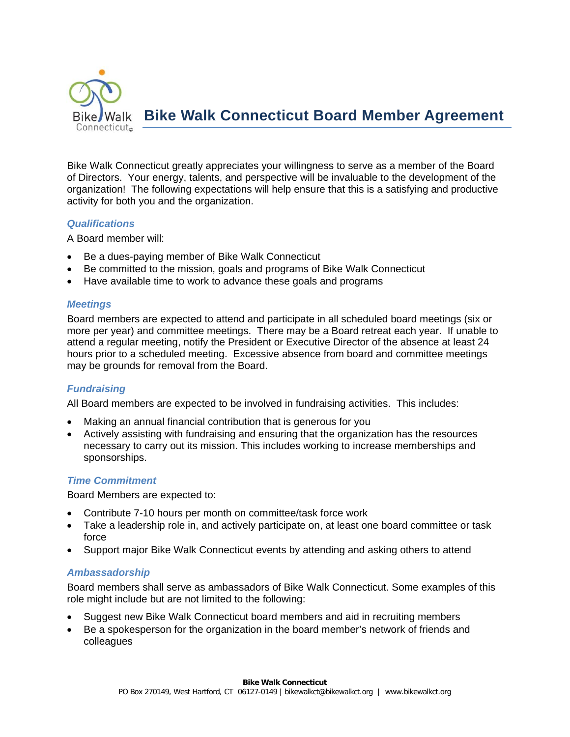

Bike Walk Connecticut greatly appreciates your willingness to serve as a member of the Board of Directors. Your energy, talents, and perspective will be invaluable to the development of the organization! The following expectations will help ensure that this is a satisfying and productive activity for both you and the organization.

## *Qualifications*

A Board member will:

- Be a dues-paying member of Bike Walk Connecticut
- Be committed to the mission, goals and programs of Bike Walk Connecticut
- Have available time to work to advance these goals and programs

# *Meetings*

Board members are expected to attend and participate in all scheduled board meetings (six or more per year) and committee meetings. There may be a Board retreat each year. If unable to attend a regular meeting, notify the President or Executive Director of the absence at least 24 hours prior to a scheduled meeting. Excessive absence from board and committee meetings may be grounds for removal from the Board.

# *Fundraising*

All Board members are expected to be involved in fundraising activities. This includes:

- Making an annual financial contribution that is generous for you
- Actively assisting with fundraising and ensuring that the organization has the resources necessary to carry out its mission. This includes working to increase memberships and sponsorships.

# *Time Commitment*

Board Members are expected to:

- Contribute 7-10 hours per month on committee/task force work
- Take a leadership role in, and actively participate on, at least one board committee or task force
- Support major Bike Walk Connecticut events by attending and asking others to attend

## *Ambassadorship*

Board members shall serve as ambassadors of Bike Walk Connecticut. Some examples of this role might include but are not limited to the following:

- Suggest new Bike Walk Connecticut board members and aid in recruiting members
- Be a spokesperson for the organization in the board member's network of friends and colleagues